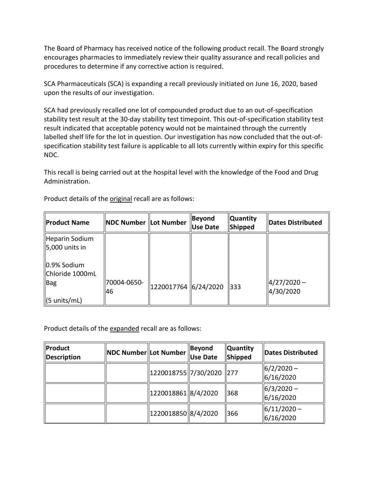The Board of Pharmacy has received notice of the following product recall. The Board strongly encourages pharmacies to immediately review their quality assurance and recall policies and procedures to determine if any corrective action is required.

SCA Pharmaceuticals (SCA) is expanding a recall previously initiated on June 16, 2020, based upon the results of our investigation.

 stability test result at the 30-day stability test timepoint. This out-of-specification stability test result indicated that acceptable potency would not be maintained through the currently labelled shelf life for the lot in question. Our investigation has now concluded that the out-of- specification stability test failure is applicable to all lots currently within expiry for this specific SCA had previously recalled one lot of compounded product due to an out-of-specification NDC.

 This recall is being carried out at the hospital level with the knowledge of the Food and Drug Administration.

| <b>Product Name</b> | <b>NDC Number Lot Number</b> |                        | Beyond<br><b>Use Date</b> | <b>Quantity</b><br>Shipped | Dates Distributed          |
|---------------------|------------------------------|------------------------|---------------------------|----------------------------|----------------------------|
| Heparin Sodium      |                              |                        |                           |                            |                            |
| $5,000$ units in    |                              |                        |                           |                            |                            |
| 0.9% Sodium         |                              |                        |                           |                            |                            |
| Chloride 1000mL     |                              |                        |                           |                            |                            |
| Bag                 | 70004-0650-<br>46            | 1220017764   6/24/2020 |                           | $\parallel$ 333            | $4/27/2020 -$<br>4/30/2020 |
| (5 units/mL)        |                              |                        |                           |                            |                            |

Product details of the **original** recall are as follows:

Product details of the expanded recall are as follows:

| <b>Product</b><br>Description | NDC Number Lot Number |                       | Beyond<br><b>Use Date</b> | <b>Quantity</b><br>Shipped | Dates Distributed              |
|-------------------------------|-----------------------|-----------------------|---------------------------|----------------------------|--------------------------------|
|                               |                       | 1220018755  7/30/2020 |                           | $\vert$ 277                | $ 6/2/2020 -$<br> 6/16/2020    |
|                               |                       | 1220018861  8/4/2020  |                           | 368                        | $ 6/3/2020 -$<br> 6/16/2020    |
|                               |                       | 1220018850  8/4/2020  |                           | 1366                       | $\ $ 6/11/2020 -<br> 6/16/2020 |